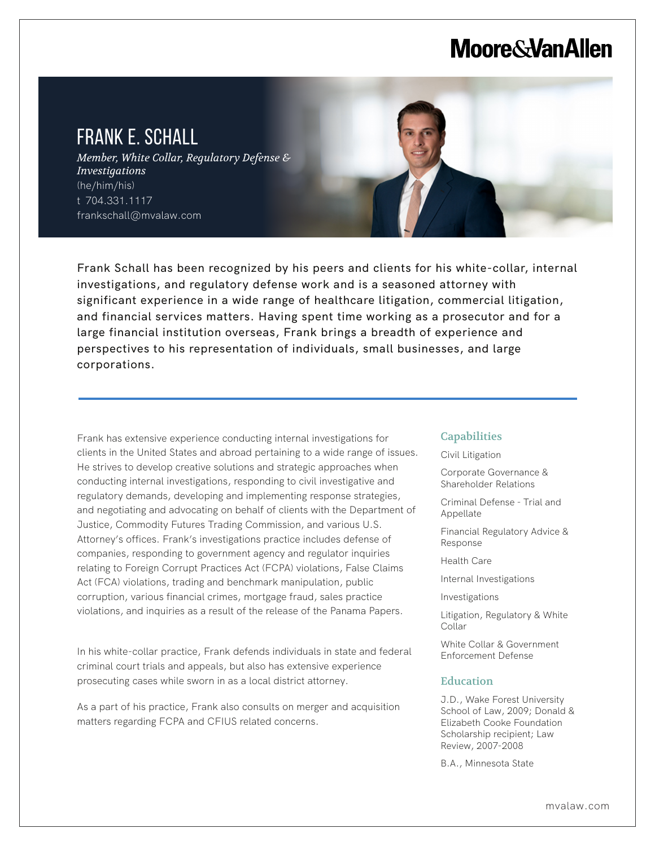# **Moore & Van Allen**

# FRANK E. SCHALL

L

*Member, White Collar, Regulatory Defense & Investigations* (he/him/his) t 704.331.1117 frankschall@mvalaw.com



Frank Schall has been recognized by his peers and clients for his white-collar, internal investigations, and regulatory defense work and is a seasoned attorney with significant experience in a wide range of healthcare litigation, commercial litigation, and financial services matters. Having spent time working as a prosecutor and for a large financial institution overseas, Frank brings a breadth of experience and perspectives to his representation of individuals, small businesses, and large corporations.

Frank has extensive experience conducting internal investigations for clients in the United States and abroad pertaining to a wide range of issues. He strives to develop creative solutions and strategic approaches when conducting internal investigations, responding to civil investigative and regulatory demands, developing and implementing response strategies, and negotiating and advocating on behalf of clients with the Department of Justice, Commodity Futures Trading Commission, and various U.S. Attorney's offices. Frank's investigations practice includes defense of companies, responding to government agency and regulator inquiries relating to Foreign Corrupt Practices Act (FCPA) violations, False Claims Act (FCA) violations, trading and benchmark manipulation, public corruption, various financial crimes, mortgage fraud, sales practice violations, and inquiries as a result of the release of the Panama Papers.

In his white-collar practice, Frank defends individuals in state and federal criminal court trials and appeals, but also has extensive experience prosecuting cases while sworn in as a local district attorney.

As a part of his practice, Frank also consults on merger and acquisition matters regarding FCPA and CFIUS related concerns.

## **Capabilities**

Civil Litigation

Corporate Governance & Shareholder Relations

Criminal Defense - Trial and Appellate

Financial Regulatory Advice & Response

Health Care

Internal Investigations

Investigations

Litigation, Regulatory & White Collar

White Collar & Government Enforcement Defense

# Education

J.D., Wake Forest University School of Law, 2009; Donald & Elizabeth Cooke Foundation Scholarship recipient; Law Review, 2007-2008

B.A., Minnesota State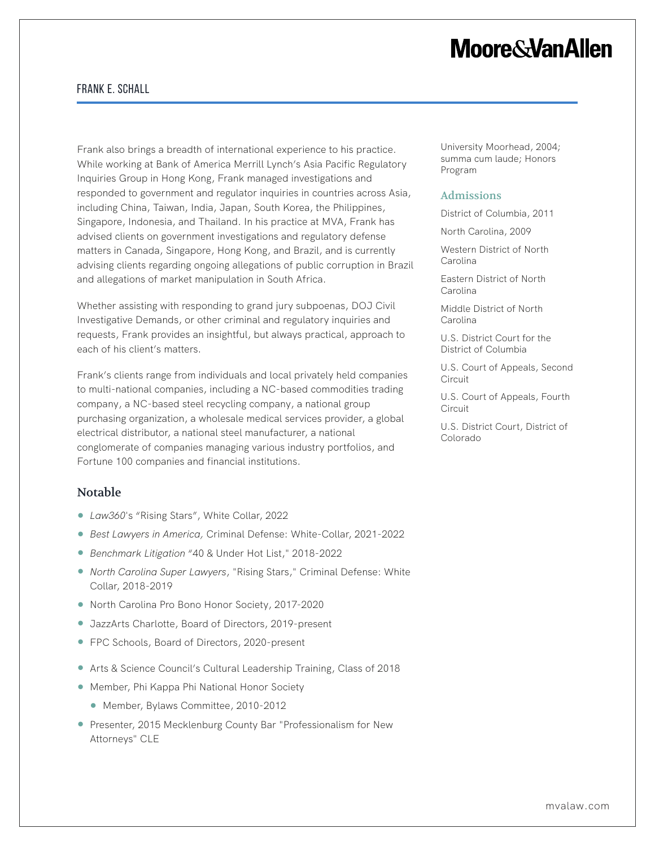# **Moore&VanAllen**

# Frank E. Schall

Frank also brings a breadth of international experience to his practice. While working at Bank of America Merrill Lynch's Asia Pacific Regulatory Inquiries Group in Hong Kong, Frank managed investigations and responded to government and regulator inquiries in countries across Asia, including China, Taiwan, India, Japan, South Korea, the Philippines, Singapore, Indonesia, and Thailand. In his practice at MVA, Frank has advised clients on government investigations and regulatory defense matters in Canada, Singapore, Hong Kong, and Brazil, and is currently advising clients regarding ongoing allegations of public corruption in Brazil and allegations of market manipulation in South Africa.

Whether assisting with responding to grand jury subpoenas, DOJ Civil Investigative Demands, or other criminal and regulatory inquiries and requests, Frank provides an insightful, but always practical, approach to each of his client's matters.

Frank's clients range from individuals and local privately held companies to multi-national companies, including a NC-based commodities trading company, a NC-based steel recycling company, a national group purchasing organization, a wholesale medical services provider, a global electrical distributor, a national steel manufacturer, a national conglomerate of companies managing various industry portfolios, and Fortune 100 companies and financial institutions.

### Notable

- *Law360*'s "Rising Stars", White Collar, 2022
- *Best Lawyers in America,* Criminal Defense: White-Collar, 2021-2022
- *Benchmark Litigation* "40 & Under Hot List," 2018-2022
- *North Carolina Super Lawyers*, "Rising Stars," Criminal Defense: White Collar, 2018-2019
- North Carolina Pro Bono Honor Society, 2017-2020
- JazzArts Charlotte, Board of Directors, 2019-present
- FPC Schools, Board of Directors, 2020-present
- Arts & Science Council's Cultural Leadership Training, Class of 2018
- Member, Phi Kappa Phi National Honor Society
	- Member, Bylaws Committee, 2010-2012
- Presenter, 2015 Mecklenburg County Bar "Professionalism for New Attorneys" CLE

University Moorhead, 2004; summa cum laude; Honors Program

#### Admissions

District of Columbia, 2011

North Carolina, 2009

Western District of North Carolina

Eastern District of North Carolina

Middle District of North Carolina

U.S. District Court for the District of Columbia

U.S. Court of Appeals, Second **Circuit** 

U.S. Court of Appeals, Fourth **Circuit** 

U.S. District Court, District of Colorado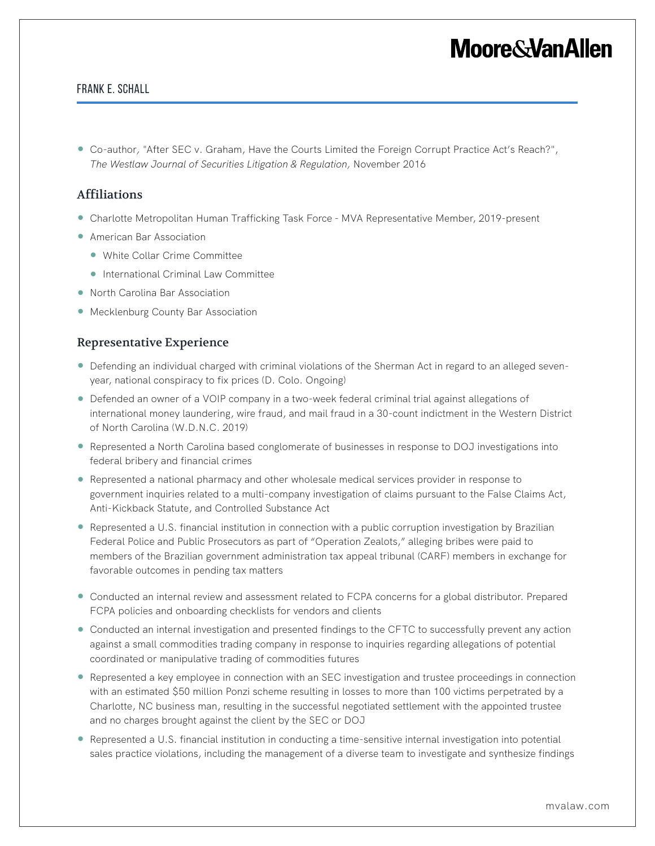# **Moore&VanAllen**

## Frank E. Schall

● Co-author, "After SEC v. Graham, Have the Courts Limited the Foreign Corrupt Practice Act's Reach?", *The Westlaw Journal of Securities Litigation & Regulation,* November 2016

# Affiliations

- Charlotte Metropolitan Human Trafficking Task Force MVA Representative Member, 2019-present
- American Bar Association
	- White Collar Crime Committee
	- International Criminal Law Committee
- North Carolina Bar Association
- Mecklenburg County Bar Association

## Representative Experience

- Defending an individual charged with criminal violations of the Sherman Act in regard to an alleged sevenyear, national conspiracy to fix prices (D. Colo. Ongoing)
- Defended an owner of a VOIP company in a two-week federal criminal trial against allegations of international money laundering, wire fraud, and mail fraud in a 30-count indictment in the Western District of North Carolina (W.D.N.C. 2019)
- Represented a North Carolina based conglomerate of businesses in response to DOJ investigations into federal bribery and financial crimes
- Represented a national pharmacy and other wholesale medical services provider in response to government inquiries related to a multi-company investigation of claims pursuant to the False Claims Act, Anti-Kickback Statute, and Controlled Substance Act
- Represented a U.S. financial institution in connection with a public corruption investigation by Brazilian Federal Police and Public Prosecutors as part of "Operation Zealots," alleging bribes were paid to members of the Brazilian government administration tax appeal tribunal (CARF) members in exchange for favorable outcomes in pending tax matters
- Conducted an internal review and assessment related to FCPA concerns for a global distributor. Prepared FCPA policies and onboarding checklists for vendors and clients
- Conducted an internal investigation and presented findings to the CFTC to successfully prevent any action against a small commodities trading company in response to inquiries regarding allegations of potential coordinated or manipulative trading of commodities futures
- Represented a key employee in connection with an SEC investigation and trustee proceedings in connection with an estimated \$50 million Ponzi scheme resulting in losses to more than 100 victims perpetrated by a Charlotte, NC business man, resulting in the successful negotiated settlement with the appointed trustee and no charges brought against the client by the SEC or DOJ
- Represented a U.S. financial institution in conducting a time-sensitive internal investigation into potential sales practice violations, including the management of a diverse team to investigate and synthesize findings